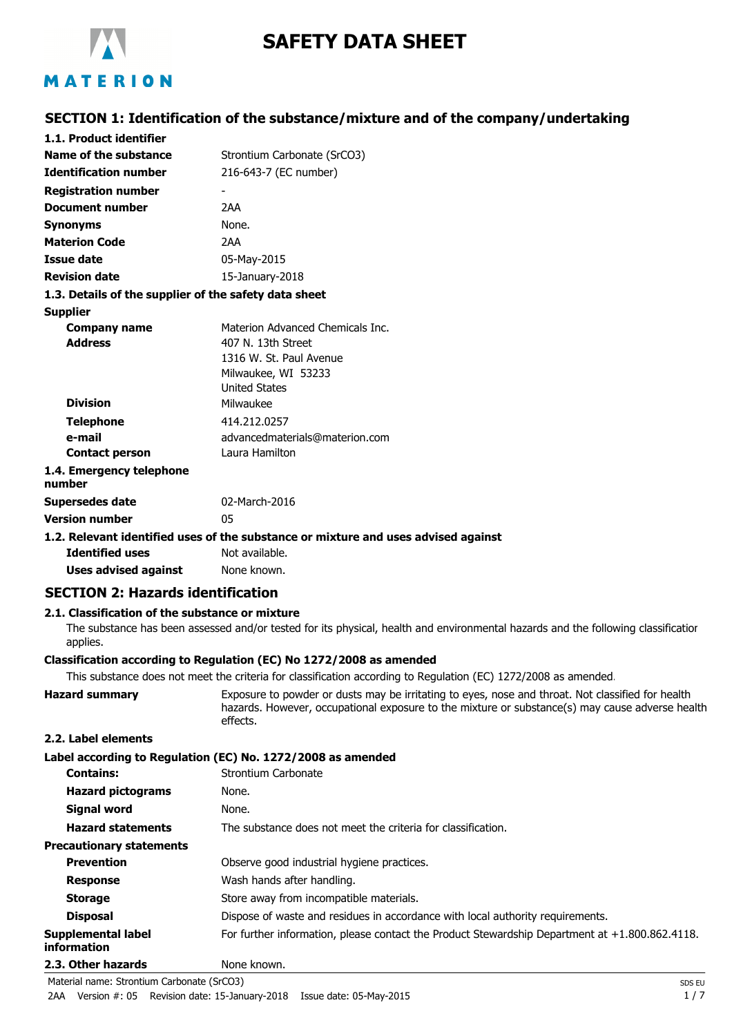

# **SAFETY DATA SHEET**

# **SECTION 1: Identification of the substance/mixture and of the company/undertaking**

| 1.1. Product identifier                               |                                                                                    |
|-------------------------------------------------------|------------------------------------------------------------------------------------|
| Name of the substance                                 | Strontium Carbonate (SrCO3)                                                        |
| <b>Identification number</b>                          | 216-643-7 (EC number)                                                              |
| <b>Registration number</b>                            |                                                                                    |
| <b>Document number</b>                                | 2AA                                                                                |
| <b>Synonyms</b>                                       | None.                                                                              |
| <b>Materion Code</b>                                  | 2AA                                                                                |
| Issue date                                            | 05-May-2015                                                                        |
| <b>Revision date</b>                                  | 15-January-2018                                                                    |
| 1.3. Details of the supplier of the safety data sheet |                                                                                    |
| <b>Supplier</b>                                       |                                                                                    |
| <b>Company name</b>                                   | Materion Advanced Chemicals Inc.                                                   |
| <b>Address</b>                                        | 407 N. 13th Street                                                                 |
|                                                       | 1316 W. St. Paul Avenue                                                            |
|                                                       | Milwaukee, WI 53233                                                                |
|                                                       | <b>United States</b>                                                               |
| <b>Division</b>                                       | Milwaukee                                                                          |
| <b>Telephone</b>                                      | 414.212.0257                                                                       |
| e-mail                                                | advancedmaterials@materion.com                                                     |
| <b>Contact person</b>                                 | Laura Hamilton                                                                     |
| 1.4. Emergency telephone<br>number                    |                                                                                    |
| Supersedes date                                       | 02-March-2016                                                                      |
| <b>Version number</b>                                 | 05                                                                                 |
|                                                       | 1.2. Relevant identified uses of the substance or mixture and uses advised against |
| <b>Identified uses</b>                                | Not available.                                                                     |
|                                                       |                                                                                    |

**Uses advised against** None known.

# **SECTION 2: Hazards identification**

# **2.1. Classification of the substance or mixture**

The substance has been assessed and/or tested for its physical, health and environmental hazards and the following classification applies.

# **Classification according to Regulation (EC) No 1272/2008 as amended**

This substance does not meet the criteria for classification according to Regulation (EC) 1272/2008 as amended.

| <b>Hazard summary</b> | Exposure to powder or dusts may be irritating to eyes, nose and throat. Not classified for health |
|-----------------------|---------------------------------------------------------------------------------------------------|
|                       | hazards. However, occupational exposure to the mixture or substance(s) may cause adverse health   |
|                       | effects.                                                                                          |

# **2.2. Label elements**

### **Label according to Regulation (EC) No. 1272/2008 as amended**

| <b>Contains:</b>                  | Strontium Carbonate                                                                               |
|-----------------------------------|---------------------------------------------------------------------------------------------------|
| <b>Hazard pictograms</b>          | None.                                                                                             |
| <b>Signal word</b>                | None.                                                                                             |
| <b>Hazard statements</b>          | The substance does not meet the criteria for classification.                                      |
| <b>Precautionary statements</b>   |                                                                                                   |
| <b>Prevention</b>                 | Observe good industrial hygiene practices.                                                        |
| <b>Response</b>                   | Wash hands after handling.                                                                        |
| <b>Storage</b>                    | Store away from incompatible materials.                                                           |
| <b>Disposal</b>                   | Dispose of waste and residues in accordance with local authority requirements.                    |
| Supplemental label<br>information | For further information, please contact the Product Stewardship Department at $+1.800.862.4118$ . |
| 2.3. Other hazards                | None known.                                                                                       |

Material name: Strontium Carbonate (SrCO3) SDS EU

2AA Version #: 05 Revision date: 15-January-2018 Issue date: 05-May-2015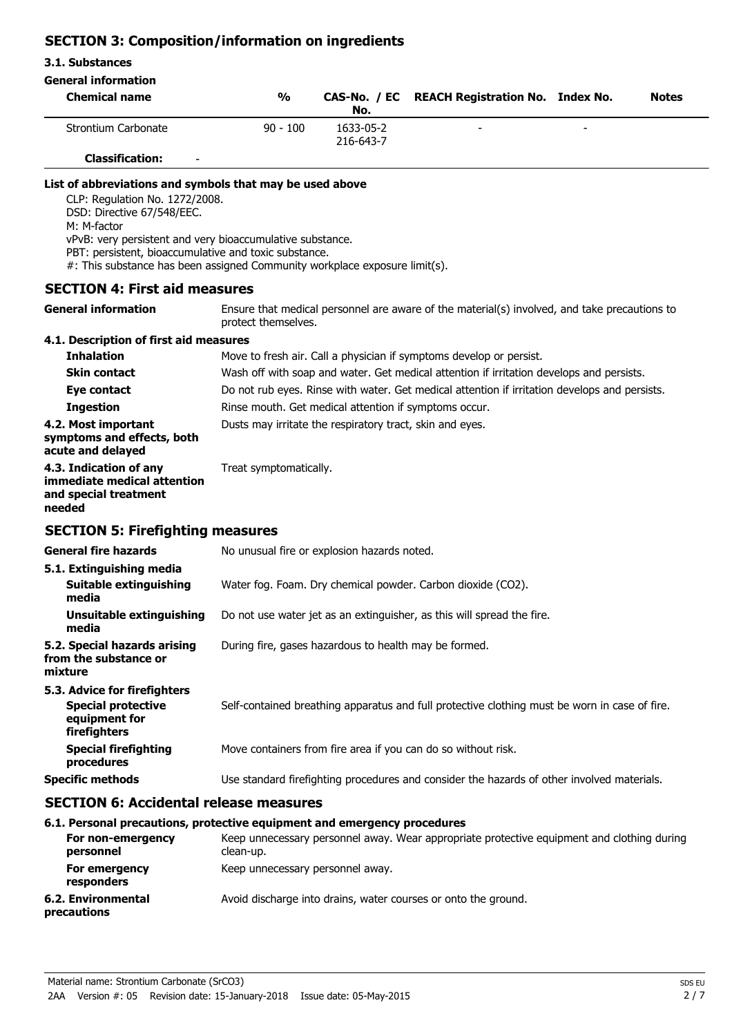# **SECTION 3: Composition/information on ingredients**

### **3.1. Substances**

# **General information**

| <b>Chemical name</b>                               | %          | No.                    | CAS-No. / EC REACH Registration No. Index No. |                          | <b>Notes</b> |
|----------------------------------------------------|------------|------------------------|-----------------------------------------------|--------------------------|--------------|
| Strontium Carbonate                                | $90 - 100$ | 1633-05-2<br>216-643-7 | $\overline{\phantom{a}}$                      | $\overline{\phantom{a}}$ |              |
| <b>Classification:</b><br>$\overline{\phantom{0}}$ |            |                        |                                               |                          |              |

### **List of abbreviations and symbols that may be used above**

CLP: Regulation No. 1272/2008.

DSD: Directive 67/548/EEC.

M: M-factor

vPvB: very persistent and very bioaccumulative substance.

PBT: persistent, bioaccumulative and toxic substance.

#: This substance has been assigned Community workplace exposure limit(s).

# **SECTION 4: First aid measures**

**General information**

Ensure that medical personnel are aware of the material(s) involved, and take precautions to protect themselves.

# **4.1. Description of first aid measures**

| <b>Inhalation</b>                                                              | Move to fresh air. Call a physician if symptoms develop or persist.                           |
|--------------------------------------------------------------------------------|-----------------------------------------------------------------------------------------------|
| <b>Skin contact</b>                                                            | Wash off with soap and water. Get medical attention if irritation develops and persists.      |
| Eye contact                                                                    | Do not rub eyes. Rinse with water. Get medical attention if irritation develops and persists. |
| <b>Ingestion</b>                                                               | Rinse mouth. Get medical attention if symptoms occur.                                         |
| 4.2. Most important<br>symptoms and effects, both<br>acute and delayed         | Dusts may irritate the respiratory tract, skin and eyes.                                      |
| 4.3. Indication of any<br>immediate medical attention<br>and special treatment | Treat symptomatically.                                                                        |

### **needed**

# **SECTION 5: Firefighting measures**

| <b>General fire hazards</b>                                                                | No unusual fire or explosion hazards noted.                                                   |
|--------------------------------------------------------------------------------------------|-----------------------------------------------------------------------------------------------|
| 5.1. Extinguishing media<br>Suitable extinguishing<br>media                                | Water fog. Foam. Dry chemical powder. Carbon dioxide (CO2).                                   |
| Unsuitable extinguishing<br>media                                                          | Do not use water jet as an extinguisher, as this will spread the fire.                        |
| 5.2. Special hazards arising<br>from the substance or<br>mixture                           | During fire, gases hazardous to health may be formed.                                         |
| 5.3. Advice for firefighters<br><b>Special protective</b><br>equipment for<br>firefighters | Self-contained breathing apparatus and full protective clothing must be worn in case of fire. |
| <b>Special firefighting</b><br>procedures                                                  | Move containers from fire area if you can do so without risk.                                 |
| <b>Specific methods</b>                                                                    | Use standard firefighting procedures and consider the hazards of other involved materials.    |

# **SECTION 6: Accidental release measures**

# **6.1. Personal precautions, protective equipment and emergency procedures**

| For non-emergency<br>personnel    | Keep unnecessary personnel away. Wear appropriate protective equipment and clothing during<br>clean-up. |
|-----------------------------------|---------------------------------------------------------------------------------------------------------|
| For emergency<br>responders       | Keep unnecessary personnel away.                                                                        |
| 6.2. Environmental<br>precautions | Avoid discharge into drains, water courses or onto the ground.                                          |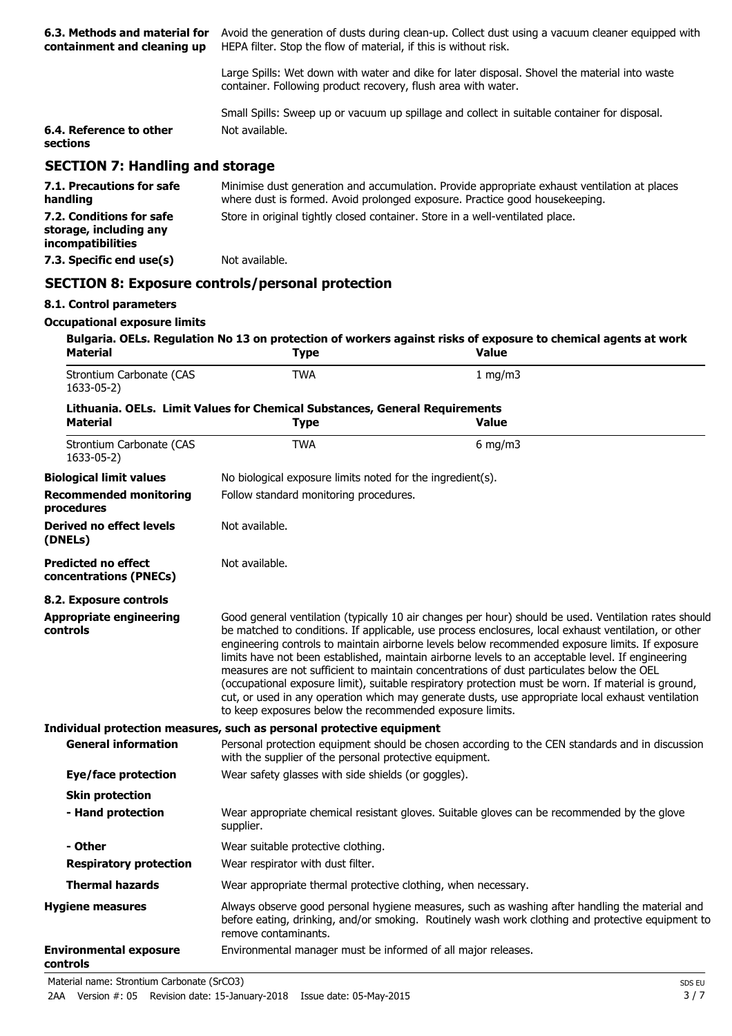| 6.3. Methods and material for<br>containment and cleaning up            | Avoid the generation of dusts during clean-up. Collect dust using a vacuum cleaner equipped with<br>HEPA filter. Stop the flow of material, if this is without risk.                                                                                                                                                                                                                                                                                                                                                                                                                                                                                                                                                                                                                       |                                                                                                                                |  |
|-------------------------------------------------------------------------|--------------------------------------------------------------------------------------------------------------------------------------------------------------------------------------------------------------------------------------------------------------------------------------------------------------------------------------------------------------------------------------------------------------------------------------------------------------------------------------------------------------------------------------------------------------------------------------------------------------------------------------------------------------------------------------------------------------------------------------------------------------------------------------------|--------------------------------------------------------------------------------------------------------------------------------|--|
|                                                                         | container. Following product recovery, flush area with water.                                                                                                                                                                                                                                                                                                                                                                                                                                                                                                                                                                                                                                                                                                                              | Large Spills: Wet down with water and dike for later disposal. Shovel the material into waste                                  |  |
|                                                                         |                                                                                                                                                                                                                                                                                                                                                                                                                                                                                                                                                                                                                                                                                                                                                                                            | Small Spills: Sweep up or vacuum up spillage and collect in suitable container for disposal.                                   |  |
| 6.4. Reference to other<br>sections                                     | Not available.                                                                                                                                                                                                                                                                                                                                                                                                                                                                                                                                                                                                                                                                                                                                                                             |                                                                                                                                |  |
| <b>SECTION 7: Handling and storage</b>                                  |                                                                                                                                                                                                                                                                                                                                                                                                                                                                                                                                                                                                                                                                                                                                                                                            |                                                                                                                                |  |
| 7.1. Precautions for safe<br>handling                                   | Minimise dust generation and accumulation. Provide appropriate exhaust ventilation at places<br>where dust is formed. Avoid prolonged exposure. Practice good housekeeping.                                                                                                                                                                                                                                                                                                                                                                                                                                                                                                                                                                                                                |                                                                                                                                |  |
| 7.2. Conditions for safe<br>storage, including any<br>incompatibilities | Store in original tightly closed container. Store in a well-ventilated place.                                                                                                                                                                                                                                                                                                                                                                                                                                                                                                                                                                                                                                                                                                              |                                                                                                                                |  |
| 7.3. Specific end use(s)                                                | Not available.                                                                                                                                                                                                                                                                                                                                                                                                                                                                                                                                                                                                                                                                                                                                                                             |                                                                                                                                |  |
|                                                                         | <b>SECTION 8: Exposure controls/personal protection</b>                                                                                                                                                                                                                                                                                                                                                                                                                                                                                                                                                                                                                                                                                                                                    |                                                                                                                                |  |
| 8.1. Control parameters                                                 |                                                                                                                                                                                                                                                                                                                                                                                                                                                                                                                                                                                                                                                                                                                                                                                            |                                                                                                                                |  |
| <b>Occupational exposure limits</b>                                     |                                                                                                                                                                                                                                                                                                                                                                                                                                                                                                                                                                                                                                                                                                                                                                                            |                                                                                                                                |  |
| <b>Material</b>                                                         | <b>Type</b>                                                                                                                                                                                                                                                                                                                                                                                                                                                                                                                                                                                                                                                                                                                                                                                | Bulgaria. OELs. Regulation No 13 on protection of workers against risks of exposure to chemical agents at work<br><b>Value</b> |  |
| Strontium Carbonate (CAS<br>1633-05-2)                                  | <b>TWA</b>                                                                                                                                                                                                                                                                                                                                                                                                                                                                                                                                                                                                                                                                                                                                                                                 | 1 mg/m $3$                                                                                                                     |  |
| Material                                                                | Lithuania. OELs. Limit Values for Chemical Substances, General Requirements<br><b>Type</b>                                                                                                                                                                                                                                                                                                                                                                                                                                                                                                                                                                                                                                                                                                 | <b>Value</b>                                                                                                                   |  |
| Strontium Carbonate (CAS<br>1633-05-2)                                  | <b>TWA</b>                                                                                                                                                                                                                                                                                                                                                                                                                                                                                                                                                                                                                                                                                                                                                                                 | 6 mg/m $3$                                                                                                                     |  |
| <b>Biological limit values</b>                                          | No biological exposure limits noted for the ingredient(s).                                                                                                                                                                                                                                                                                                                                                                                                                                                                                                                                                                                                                                                                                                                                 |                                                                                                                                |  |
| <b>Recommended monitoring</b><br>procedures                             | Follow standard monitoring procedures.                                                                                                                                                                                                                                                                                                                                                                                                                                                                                                                                                                                                                                                                                                                                                     |                                                                                                                                |  |
| Derived no effect levels<br>(DNELs)                                     | Not available.                                                                                                                                                                                                                                                                                                                                                                                                                                                                                                                                                                                                                                                                                                                                                                             |                                                                                                                                |  |
| <b>Predicted no effect</b><br>concentrations (PNECs)                    | Not available.                                                                                                                                                                                                                                                                                                                                                                                                                                                                                                                                                                                                                                                                                                                                                                             |                                                                                                                                |  |
| 8.2. Exposure controls                                                  |                                                                                                                                                                                                                                                                                                                                                                                                                                                                                                                                                                                                                                                                                                                                                                                            |                                                                                                                                |  |
| <b>Appropriate engineering</b><br>controls                              | Good general ventilation (typically 10 air changes per hour) should be used. Ventilation rates should<br>be matched to conditions. If applicable, use process enclosures, local exhaust ventilation, or other<br>engineering controls to maintain airborne levels below recommended exposure limits. If exposure<br>limits have not been established, maintain airborne levels to an acceptable level. If engineering<br>measures are not sufficient to maintain concentrations of dust particulates below the OEL<br>(occupational exposure limit), suitable respiratory protection must be worn. If material is ground,<br>cut, or used in any operation which may generate dusts, use appropriate local exhaust ventilation<br>to keep exposures below the recommended exposure limits. |                                                                                                                                |  |
|                                                                         | Individual protection measures, such as personal protective equipment                                                                                                                                                                                                                                                                                                                                                                                                                                                                                                                                                                                                                                                                                                                      |                                                                                                                                |  |
| <b>General information</b>                                              | with the supplier of the personal protective equipment.                                                                                                                                                                                                                                                                                                                                                                                                                                                                                                                                                                                                                                                                                                                                    | Personal protection equipment should be chosen according to the CEN standards and in discussion                                |  |
| Eye/face protection                                                     | Wear safety glasses with side shields (or goggles).                                                                                                                                                                                                                                                                                                                                                                                                                                                                                                                                                                                                                                                                                                                                        |                                                                                                                                |  |
| <b>Skin protection</b>                                                  |                                                                                                                                                                                                                                                                                                                                                                                                                                                                                                                                                                                                                                                                                                                                                                                            |                                                                                                                                |  |
| - Hand protection                                                       | supplier.                                                                                                                                                                                                                                                                                                                                                                                                                                                                                                                                                                                                                                                                                                                                                                                  | Wear appropriate chemical resistant gloves. Suitable gloves can be recommended by the glove                                    |  |
| - Other                                                                 | Wear suitable protective clothing.                                                                                                                                                                                                                                                                                                                                                                                                                                                                                                                                                                                                                                                                                                                                                         |                                                                                                                                |  |
| <b>Respiratory protection</b>                                           | Wear respirator with dust filter.                                                                                                                                                                                                                                                                                                                                                                                                                                                                                                                                                                                                                                                                                                                                                          |                                                                                                                                |  |
| <b>Thermal hazards</b>                                                  | Wear appropriate thermal protective clothing, when necessary.                                                                                                                                                                                                                                                                                                                                                                                                                                                                                                                                                                                                                                                                                                                              |                                                                                                                                |  |
| <b>Hygiene measures</b>                                                 | Always observe good personal hygiene measures, such as washing after handling the material and<br>before eating, drinking, and/or smoking. Routinely wash work clothing and protective equipment to<br>remove contaminants.                                                                                                                                                                                                                                                                                                                                                                                                                                                                                                                                                                |                                                                                                                                |  |
| <b>Environmental exposure</b><br>controls                               | Environmental manager must be informed of all major releases.                                                                                                                                                                                                                                                                                                                                                                                                                                                                                                                                                                                                                                                                                                                              |                                                                                                                                |  |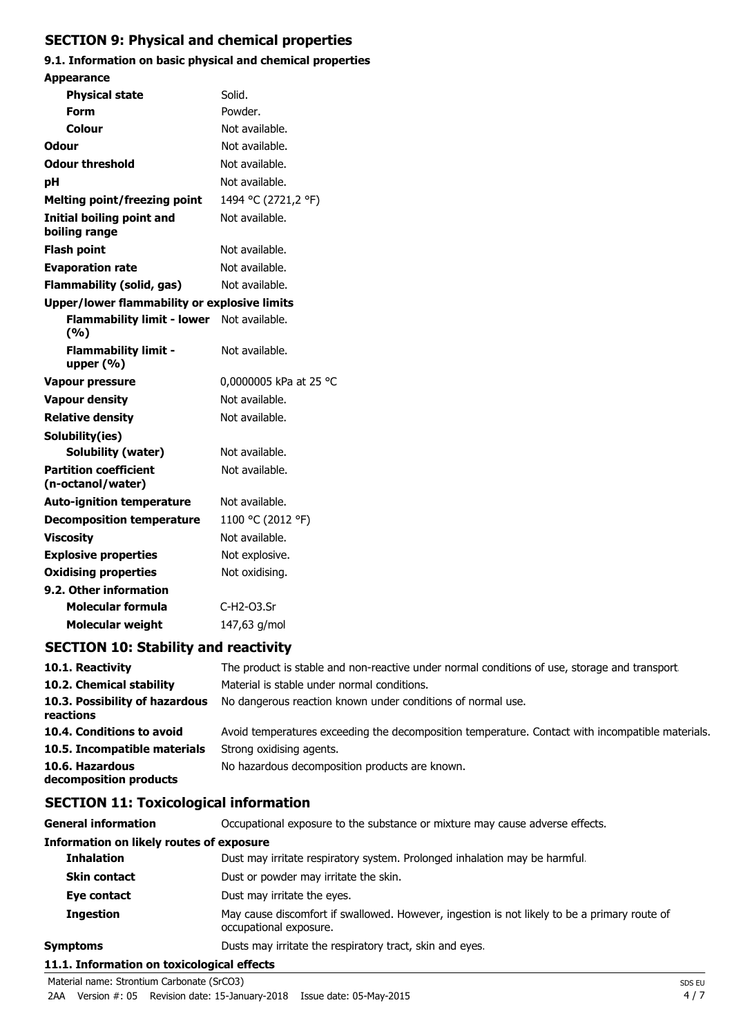# **SECTION 9: Physical and chemical properties**

# **9.1. Information on basic physical and chemical properties**

| <b>Appearance</b>                                   |                        |
|-----------------------------------------------------|------------------------|
| <b>Physical state</b>                               | Solid.                 |
| <b>Form</b>                                         | Powder.                |
| Colour                                              | Not available.         |
| <b>Odour</b>                                        | Not available.         |
| <b>Odour threshold</b>                              | Not available.         |
| рH                                                  | Not available.         |
| <b>Melting point/freezing point</b>                 | 1494 °C (2721,2 °F)    |
| <b>Initial boiling point and</b><br>boiling range   | Not available.         |
| <b>Flash point</b>                                  | Not available.         |
| <b>Evaporation rate</b>                             | Not available.         |
| <b>Flammability (solid, gas)</b>                    | Not available.         |
| <b>Upper/lower flammability or explosive limits</b> |                        |
| <b>Flammability limit - lower</b><br>(%)            | Not available.         |
| <b>Flammability limit -</b><br>upper $(% )$         | Not available.         |
| <b>Vapour pressure</b>                              | 0,0000005 kPa at 25 °C |
| <b>Vapour density</b>                               | Not available.         |
| <b>Relative density</b>                             | Not available.         |
| Solubility(ies)                                     |                        |
| Solubility (water)                                  | Not available.         |
| <b>Partition coefficient</b><br>(n-octanol/water)   | Not available.         |
| <b>Auto-ignition temperature</b>                    | Not available.         |
| <b>Decomposition temperature</b>                    | 1100 °C (2012 °F)      |
| <b>Viscosity</b>                                    | Not available.         |
| <b>Explosive properties</b>                         | Not explosive.         |
| <b>Oxidising properties</b>                         | Not oxidising.         |
| 9.2. Other information                              |                        |
| Molecular formula                                   | C-H2-03.Sr             |
| <b>Molecular weight</b>                             | 147,63 g/mol           |

# **SECTION 10: Stability and reactivity**

| 10.1. Reactivity                            | The product is stable and non-reactive under normal conditions of use, storage and transport.    |
|---------------------------------------------|--------------------------------------------------------------------------------------------------|
| 10.2. Chemical stability                    | Material is stable under normal conditions.                                                      |
| 10.3. Possibility of hazardous<br>reactions | No dangerous reaction known under conditions of normal use.                                      |
| 10.4. Conditions to avoid                   | Avoid temperatures exceeding the decomposition temperature. Contact with incompatible materials. |
| 10.5. Incompatible materials                | Strong oxidising agents.                                                                         |
| 10.6. Hazardous<br>decomposition products   | No hazardous decomposition products are known.                                                   |

# **SECTION 11: Toxicological information**

| <b>General information</b>                      | Occupational exposure to the substance or mixture may cause adverse effects.                                           |
|-------------------------------------------------|------------------------------------------------------------------------------------------------------------------------|
| <b>Information on likely routes of exposure</b> |                                                                                                                        |
| <b>Inhalation</b>                               | Dust may irritate respiratory system. Prolonged inhalation may be harmful.                                             |
| <b>Skin contact</b>                             | Dust or powder may irritate the skin.                                                                                  |
| Eye contact                                     | Dust may irritate the eyes.                                                                                            |
| <b>Ingestion</b>                                | May cause discomfort if swallowed. However, ingestion is not likely to be a primary route of<br>occupational exposure. |
| <b>Symptoms</b>                                 | Dusts may irritate the respiratory tract, skin and eyes.                                                               |
| 11.1. Information on toxicological effects      |                                                                                                                        |

#### **11.1. Information on toxicological effects** Material name: Strontium Carbonate (SrCO3) SDS EU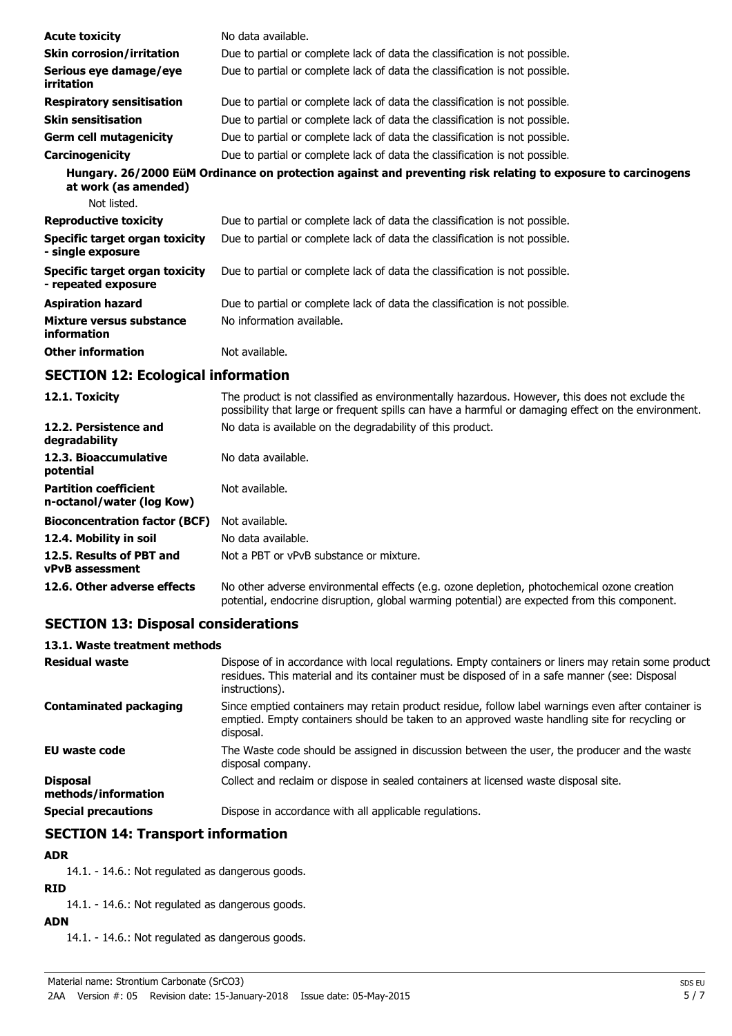| <b>Acute toxicity</b>                                 | No data available.                                                                                           |
|-------------------------------------------------------|--------------------------------------------------------------------------------------------------------------|
| <b>Skin corrosion/irritation</b>                      | Due to partial or complete lack of data the classification is not possible.                                  |
| Serious eye damage/eye<br>irritation                  | Due to partial or complete lack of data the classification is not possible.                                  |
| <b>Respiratory sensitisation</b>                      | Due to partial or complete lack of data the classification is not possible.                                  |
| <b>Skin sensitisation</b>                             | Due to partial or complete lack of data the classification is not possible.                                  |
| <b>Germ cell mutagenicity</b>                         | Due to partial or complete lack of data the classification is not possible.                                  |
| Carcinogenicity                                       | Due to partial or complete lack of data the classification is not possible.                                  |
| at work (as amended)                                  | Hungary. 26/2000 EüM Ordinance on protection against and preventing risk relating to exposure to carcinogens |
| Not listed.                                           |                                                                                                              |
| <b>Reproductive toxicity</b>                          | Due to partial or complete lack of data the classification is not possible.                                  |
| Specific target organ toxicity<br>- single exposure   | Due to partial or complete lack of data the classification is not possible.                                  |
| Specific target organ toxicity<br>- repeated exposure | Due to partial or complete lack of data the classification is not possible.                                  |
| <b>Aspiration hazard</b>                              | Due to partial or complete lack of data the classification is not possible.                                  |
| Mixture versus substance<br>information               | No information available.                                                                                    |
| <b>Other information</b>                              | Not available.                                                                                               |

# **SECTION 12: Ecological information**

| 12.1. Toxicity                                            | The product is not classified as environmentally hazardous. However, this does not exclude the<br>possibility that large or frequent spills can have a harmful or damaging effect on the environment. |  |
|-----------------------------------------------------------|-------------------------------------------------------------------------------------------------------------------------------------------------------------------------------------------------------|--|
| 12.2. Persistence and<br>degradability                    | No data is available on the degradability of this product.                                                                                                                                            |  |
| 12.3. Bioaccumulative<br>potential                        | No data available.                                                                                                                                                                                    |  |
| <b>Partition coefficient</b><br>n-octanol/water (log Kow) | Not available.                                                                                                                                                                                        |  |
| <b>Bioconcentration factor (BCF)</b>                      | Not available.                                                                                                                                                                                        |  |
| 12.4. Mobility in soil                                    | No data available.                                                                                                                                                                                    |  |
| 12.5. Results of PBT and<br><b>vPvB</b> assessment        | Not a PBT or vPvB substance or mixture.                                                                                                                                                               |  |
| 12.6. Other adverse effects                               | No other adverse environmental effects (e.g. ozone depletion, photochemical ozone creation<br>potential, endocrine disruption, global warming potential) are expected from this component.            |  |

# **SECTION 13: Disposal considerations**

# **13.1. Waste treatment methods**

| <b>Residual waste</b>                  | Dispose of in accordance with local regulations. Empty containers or liners may retain some product<br>residues. This material and its container must be disposed of in a safe manner (see: Disposal<br>instructions). |
|----------------------------------------|------------------------------------------------------------------------------------------------------------------------------------------------------------------------------------------------------------------------|
| Contaminated packaging                 | Since emptied containers may retain product residue, follow label warnings even after container is<br>emptied. Empty containers should be taken to an approved waste handling site for recycling or<br>disposal.       |
| EU waste code                          | The Waste code should be assigned in discussion between the user, the producer and the waste<br>disposal company.                                                                                                      |
| <b>Disposal</b><br>methods/information | Collect and reclaim or dispose in sealed containers at licensed waste disposal site.                                                                                                                                   |
| <b>Special precautions</b>             | Dispose in accordance with all applicable regulations.                                                                                                                                                                 |

# **SECTION 14: Transport information**

# **ADR**

14.1. - 14.6.: Not regulated as dangerous goods.

### **RID**

14.1. - 14.6.: Not regulated as dangerous goods.

# **ADN**

14.1. - 14.6.: Not regulated as dangerous goods.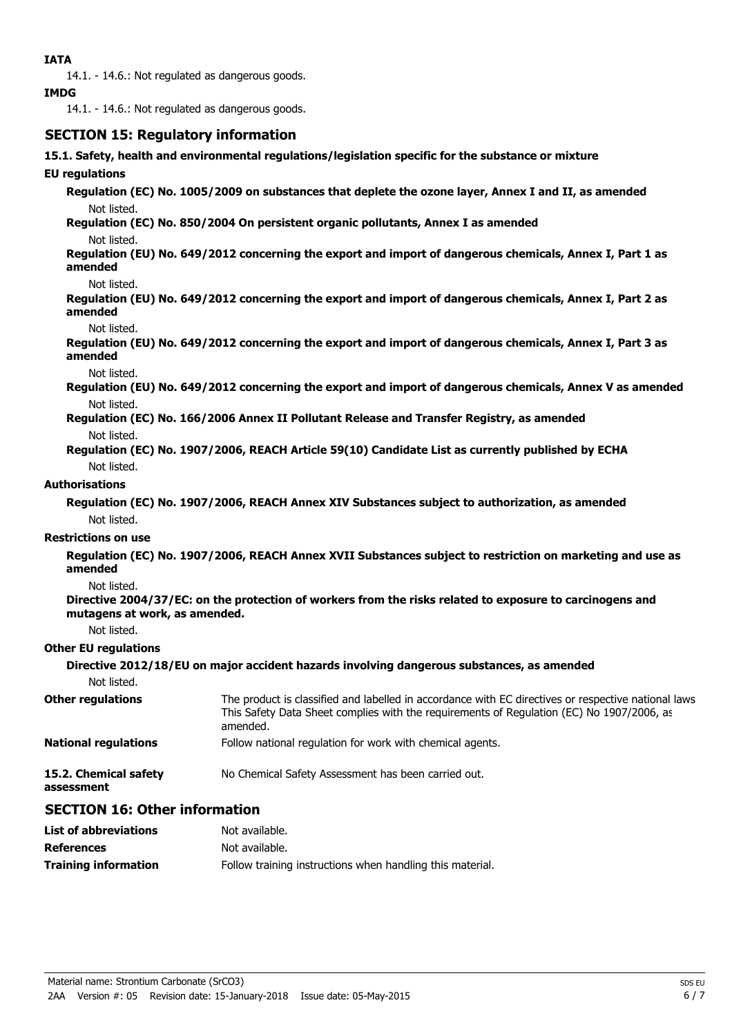14.1. - 14.6.: Not regulated as dangerous goods.

### **IMDG**

14.1. - 14.6.: Not regulated as dangerous goods.

# **SECTION 15: Regulatory information**

**15.1. Safety, health and environmental regulations/legislation specific for the substance or mixture**

# **EU regulations**

**Regulation (EC) No. 1005/2009 on substances that deplete the ozone layer, Annex I and II, as amended** Not listed.

**Regulation (EC) No. 850/2004 On persistent organic pollutants, Annex I as amended** Not listed.

**Regulation (EU) No. 649/2012 concerning the export and import of dangerous chemicals, Annex I, Part 1 as amended**

#### Not listed.

**Regulation (EU) No. 649/2012 concerning the export and import of dangerous chemicals, Annex I, Part 2 as amended**

#### Not listed.

**Regulation (EU) No. 649/2012 concerning the export and import of dangerous chemicals, Annex I, Part 3 as amended**

Not listed.

**Regulation (EU) No. 649/2012 concerning the export and import of dangerous chemicals, Annex V as amended** Not listed.

- **Regulation (EC) No. 166/2006 Annex II Pollutant Release and Transfer Registry, as amended** Not listed.
- **Regulation (EC) No. 1907/2006, REACH Article 59(10) Candidate List as currently published by ECHA** Not listed.

### **Authorisations**

**Regulation (EC) No. 1907/2006, REACH Annex XIV Substances subject to authorization, as amended** Not listed.

### **Restrictions on use**

**Regulation (EC) No. 1907/2006, REACH Annex XVII Substances subject to restriction on marketing and use as amended**

### Not listed.

**Directive 2004/37/EC: on the protection of workers from the risks related to exposure to carcinogens and mutagens at work, as amended.**

Not listed.

### **Other EU regulations**

**Directive 2012/18/EU on major accident hazards involving dangerous substances, as amended**

Not listed.

| <b>Other regulations</b>            | The product is classified and labelled in accordance with EC directives or respective national laws.<br>This Safety Data Sheet complies with the requirements of Regulation (EC) No 1907/2006, as<br>amended. |
|-------------------------------------|---------------------------------------------------------------------------------------------------------------------------------------------------------------------------------------------------------------|
| <b>National regulations</b>         | Follow national regulation for work with chemical agents.                                                                                                                                                     |
| 15.2. Chemical safety<br>assessment | No Chemical Safety Assessment has been carried out.                                                                                                                                                           |

# **SECTION 16: Other information**

| <b>List of abbreviations</b> | Not available.                                            |
|------------------------------|-----------------------------------------------------------|
| <b>References</b>            | Not available.                                            |
| <b>Training information</b>  | Follow training instructions when handling this material. |